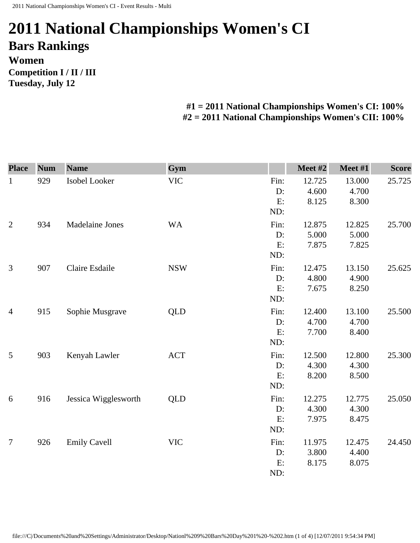## **2011 National Championships Women's CI Bars Rankings Women Competition I / II / III Tuesday, July 12**

## **#1 = 2011 National Championships Women's CI: 100% #2 = 2011 National Championships Women's CII: 100%**

| <b>Place</b>   | <b>Num</b> | <b>Name</b>          | Gym        |                            | Meet #2                  | Meet #1                  | <b>Score</b> |
|----------------|------------|----------------------|------------|----------------------------|--------------------------|--------------------------|--------------|
| $\mathbf{1}$   | 929        | Isobel Looker        | <b>VIC</b> | Fin:<br>D:<br>E:<br>ND:    | 12.725<br>4.600<br>8.125 | 13.000<br>4.700<br>8.300 | 25.725       |
| $\overline{2}$ | 934        | Madelaine Jones      | <b>WA</b>  | Fin:<br>$D$ :<br>E:<br>ND: | 12.875<br>5.000<br>7.875 | 12.825<br>5.000<br>7.825 | 25.700       |
| $\mathfrak{Z}$ | 907        | Claire Esdaile       | <b>NSW</b> | Fin:<br>D:<br>E:<br>ND:    | 12.475<br>4.800<br>7.675 | 13.150<br>4.900<br>8.250 | 25.625       |
| $\overline{4}$ | 915        | Sophie Musgrave      | <b>QLD</b> | Fin:<br>D:<br>E:<br>ND:    | 12.400<br>4.700<br>7.700 | 13.100<br>4.700<br>8.400 | 25.500       |
| 5              | 903        | Kenyah Lawler        | <b>ACT</b> | Fin:<br>$D$ :<br>E:<br>ND: | 12.500<br>4.300<br>8.200 | 12.800<br>4.300<br>8.500 | 25.300       |
| 6              | 916        | Jessica Wigglesworth | <b>QLD</b> | Fin:<br>D:<br>E:<br>ND:    | 12.275<br>4.300<br>7.975 | 12.775<br>4.300<br>8.475 | 25.050       |
| $\tau$         | 926        | <b>Emily Cavell</b>  | <b>VIC</b> | Fin:<br>D:<br>E:<br>ND:    | 11.975<br>3.800<br>8.175 | 12.475<br>4.400<br>8.075 | 24.450       |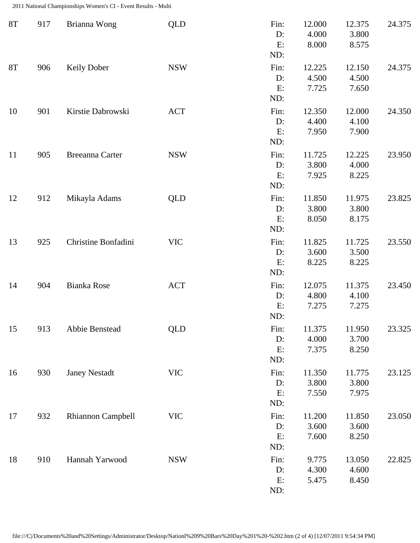2011 National Championships Women's CI - Event Results - Multi

| <b>8T</b> | 917 | Brianna Wong         | <b>QLD</b> | Fin:<br>D:<br>E:<br>ND:    | 12.000<br>4.000<br>8.000 | 12.375<br>3.800<br>8.575 | 24.375 |
|-----------|-----|----------------------|------------|----------------------------|--------------------------|--------------------------|--------|
| 8T        | 906 | <b>Keily Dober</b>   | <b>NSW</b> | Fin:<br>$D$ :<br>E:<br>ND: | 12.225<br>4.500<br>7.725 | 12.150<br>4.500<br>7.650 | 24.375 |
| 10        | 901 | Kirstie Dabrowski    | <b>ACT</b> | Fin:<br>D:<br>E:<br>ND:    | 12.350<br>4.400<br>7.950 | 12.000<br>4.100<br>7.900 | 24.350 |
| 11        | 905 | Breeanna Carter      | <b>NSW</b> | Fin:<br>D:<br>E:<br>ND:    | 11.725<br>3.800<br>7.925 | 12.225<br>4.000<br>8.225 | 23.950 |
| 12        | 912 | Mikayla Adams        | <b>QLD</b> | Fin:<br>D:<br>E:<br>ND:    | 11.850<br>3.800<br>8.050 | 11.975<br>3.800<br>8.175 | 23.825 |
| 13        | 925 | Christine Bonfadini  | <b>VIC</b> | Fin:<br>D:<br>E:<br>ND:    | 11.825<br>3.600<br>8.225 | 11.725<br>3.500<br>8.225 | 23.550 |
| 14        | 904 | Bianka Rose          | <b>ACT</b> | Fin:<br>$D$ :<br>E:<br>ND: | 12.075<br>4.800<br>7.275 | 11.375<br>4.100<br>7.275 | 23.450 |
| 15        | 913 | Abbie Benstead       | <b>QLD</b> | Fin:<br>D:<br>E:<br>ND:    | 11.375<br>4.000<br>7.375 | 11.950<br>3.700<br>8.250 | 23.325 |
| 16        | 930 | <b>Janey Nestadt</b> | <b>VIC</b> | Fin:<br>$D$ :<br>E:<br>ND: | 11.350<br>3.800<br>7.550 | 11.775<br>3.800<br>7.975 | 23.125 |
| 17        | 932 | Rhiannon Campbell    | <b>VIC</b> | Fin:<br>D:<br>E:<br>ND:    | 11.200<br>3.600<br>7.600 | 11.850<br>3.600<br>8.250 | 23.050 |
| 18        | 910 | Hannah Yarwood       | <b>NSW</b> | Fin:<br>D:<br>E:<br>ND:    | 9.775<br>4.300<br>5.475  | 13.050<br>4.600<br>8.450 | 22.825 |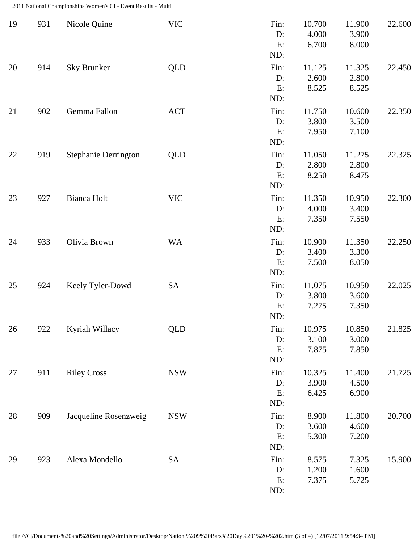2011 National Championships Women's CI - Event Results - Multi

| 19 | 931 | Nicole Quine                | <b>VIC</b> | Fin:<br>D:<br>E:<br>ND:    | 10.700<br>4.000<br>6.700 | 11.900<br>3.900<br>8.000 | 22.600 |
|----|-----|-----------------------------|------------|----------------------------|--------------------------|--------------------------|--------|
| 20 | 914 | <b>Sky Brunker</b>          | <b>QLD</b> | Fin:<br>$D$ :<br>E:<br>ND: | 11.125<br>2.600<br>8.525 | 11.325<br>2.800<br>8.525 | 22.450 |
| 21 | 902 | Gemma Fallon                | <b>ACT</b> | Fin:<br>D:<br>E:<br>ND:    | 11.750<br>3.800<br>7.950 | 10.600<br>3.500<br>7.100 | 22.350 |
| 22 | 919 | <b>Stephanie Derrington</b> | <b>QLD</b> | Fin:<br>D:<br>E:<br>ND:    | 11.050<br>2.800<br>8.250 | 11.275<br>2.800<br>8.475 | 22.325 |
| 23 | 927 | <b>Bianca Holt</b>          | <b>VIC</b> | Fin:<br>$D$ :<br>E:<br>ND: | 11.350<br>4.000<br>7.350 | 10.950<br>3.400<br>7.550 | 22.300 |
| 24 | 933 | Olivia Brown                | <b>WA</b>  | Fin:<br>D:<br>E:<br>ND:    | 10.900<br>3.400<br>7.500 | 11.350<br>3.300<br>8.050 | 22.250 |
| 25 | 924 | Keely Tyler-Dowd            | <b>SA</b>  | Fin:<br>D:<br>E:<br>ND:    | 11.075<br>3.800<br>7.275 | 10.950<br>3.600<br>7.350 | 22.025 |
| 26 | 922 | Kyriah Willacy              | <b>QLD</b> | Fin:<br>D:<br>E:<br>ND:    | 10.975<br>3.100<br>7.875 | 10.850<br>3.000<br>7.850 | 21.825 |
| 27 | 911 | <b>Riley Cross</b>          | <b>NSW</b> | Fin:<br>D:<br>E:<br>ND:    | 10.325<br>3.900<br>6.425 | 11.400<br>4.500<br>6.900 | 21.725 |
| 28 | 909 | Jacqueline Rosenzweig       | <b>NSW</b> | Fin:<br>D:<br>E:<br>ND:    | 8.900<br>3.600<br>5.300  | 11.800<br>4.600<br>7.200 | 20.700 |
| 29 | 923 | Alexa Mondello              | SA         | Fin:<br>D:<br>E:<br>ND:    | 8.575<br>1.200<br>7.375  | 7.325<br>1.600<br>5.725  | 15.900 |